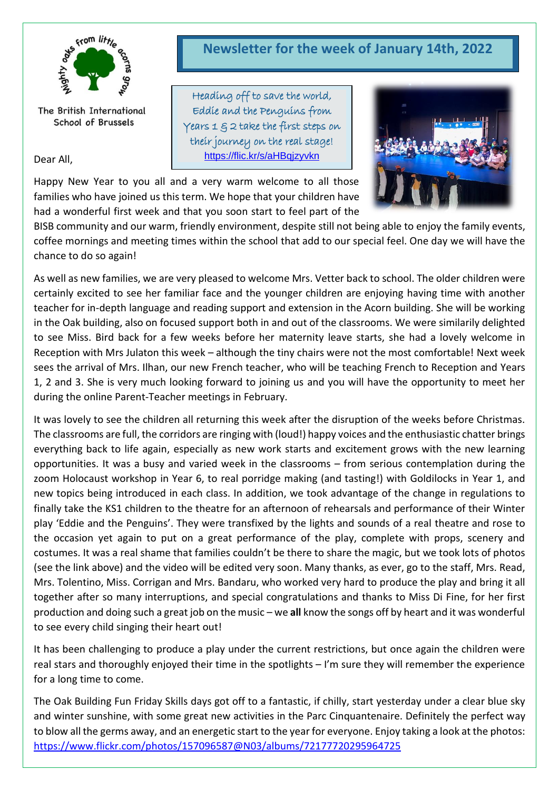

The British International School of Brussels

Dear All,

# **Newsletter for the week of January 14th, 2022**

Heading off to save the world, Eddie and the Penguins from Years  $1 \nsubseteq 2$  take the first steps on their journey on the real stage! <https://flic.kr/s/aHBqjzyvkn>



Happy New Year to you all and a very warm welcome to all those families who have joined us this term. We hope that your children have had a wonderful first week and that you soon start to feel part of the

BISB community and our warm, friendly environment, despite still not being able to enjoy the family events, coffee mornings and meeting times within the school that add to our special feel. One day we will have the chance to do so again!

As well as new families, we are very pleased to welcome Mrs. Vetter back to school. The older children were certainly excited to see her familiar face and the younger children are enjoying having time with another teacher for in-depth language and reading support and extension in the Acorn building. She will be working in the Oak building, also on focused support both in and out of the classrooms. We were similarily delighted to see Miss. Bird back for a few weeks before her maternity leave starts, she had a lovely welcome in Reception with Mrs Julaton this week – although the tiny chairs were not the most comfortable! Next week sees the arrival of Mrs. Ilhan, our new French teacher, who will be teaching French to Reception and Years 1, 2 and 3. She is very much looking forward to joining us and you will have the opportunity to meet her during the online Parent-Teacher meetings in February.

It was lovely to see the children all returning this week after the disruption of the weeks before Christmas. The classrooms are full, the corridors are ringing with (loud!) happy voices and the enthusiastic chatter brings everything back to life again, especially as new work starts and excitement grows with the new learning opportunities. It was a busy and varied week in the classrooms – from serious contemplation during the zoom Holocaust workshop in Year 6, to real porridge making (and tasting!) with Goldilocks in Year 1, and new topics being introduced in each class. In addition, we took advantage of the change in regulations to finally take the KS1 children to the theatre for an afternoon of rehearsals and performance of their Winter play 'Eddie and the Penguins'. They were transfixed by the lights and sounds of a real theatre and rose to the occasion yet again to put on a great performance of the play, complete with props, scenery and costumes. It was a real shame that families couldn't be there to share the magic, but we took lots of photos (see the link above) and the video will be edited very soon. Many thanks, as ever, go to the staff, Mrs. Read, Mrs. Tolentino, Miss. Corrigan and Mrs. Bandaru, who worked very hard to produce the play and bring it all together after so many interruptions, and special congratulations and thanks to Miss Di Fine, for her first production and doing such a great job on the music – we **all** know the songs off by heart and it was wonderful to see every child singing their heart out!

It has been challenging to produce a play under the current restrictions, but once again the children were real stars and thoroughly enjoyed their time in the spotlights – I'm sure they will remember the experience for a long time to come.

The Oak Building Fun Friday Skills days got off to a fantastic, if chilly, start yesterday under a clear blue sky and winter sunshine, with some great new activities in the Parc Cinquantenaire. Definitely the perfect way to blow all the germs away, and an energetic start to the year for everyone. Enjoy taking a look at the photos: <https://www.flickr.com/photos/157096587@N03/albums/72177720295964725>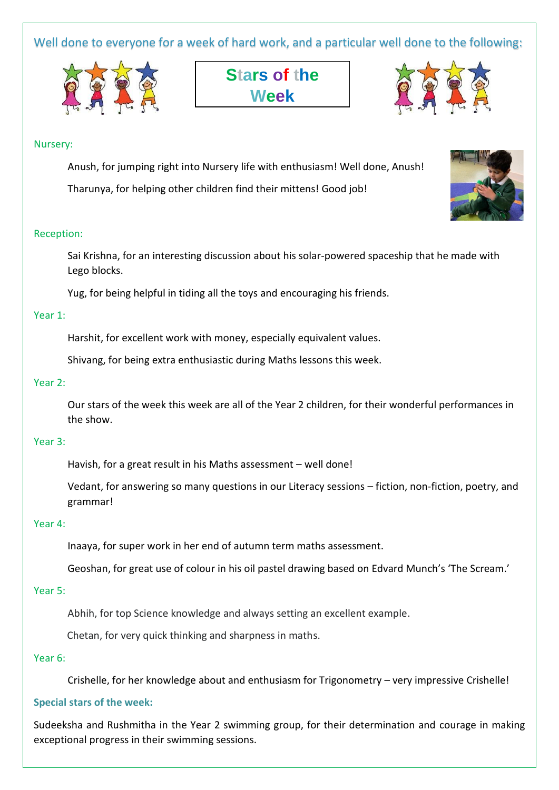Well done to everyone for a week of hard work, and a particular well done to the following:







# Nursery:

Anush, for jumping right into Nursery life with enthusiasm! Well done, Anush!

Tharunya, for helping other children find their mittens! Good job!

# Reception:

Sai Krishna, for an interesting discussion about his solar-powered spaceship that he made with Lego blocks.

Yug, for being helpful in tiding all the toys and encouraging his friends.

# Year 1:

Harshit, for excellent work with money, especially equivalent values.

Shivang, for being extra enthusiastic during Maths lessons this week.

# Year 2:

Our stars of the week this week are all of the Year 2 children, for their wonderful performances in the show.

#### Year 3:

Havish, for a great result in his Maths assessment – well done!

Vedant, for answering so many questions in our Literacy sessions – fiction, non-fiction, poetry, and grammar!

#### Year 4:

Inaaya, for super work in her end of autumn term maths assessment.

Geoshan, for great use of colour in his oil pastel drawing based on Edvard Munch's 'The Scream.'

# Year 5:

Abhih, for top Science knowledge and always setting an excellent example.

Chetan, for very quick thinking and sharpness in maths.

#### Year 6:

Crishelle, for her knowledge about and enthusiasm for Trigonometry – very impressive Crishelle!

#### **Special stars of the week:**

Sudeeksha and Rushmitha in the Year 2 swimming group, for their determination and courage in making exceptional progress in their swimming sessions.

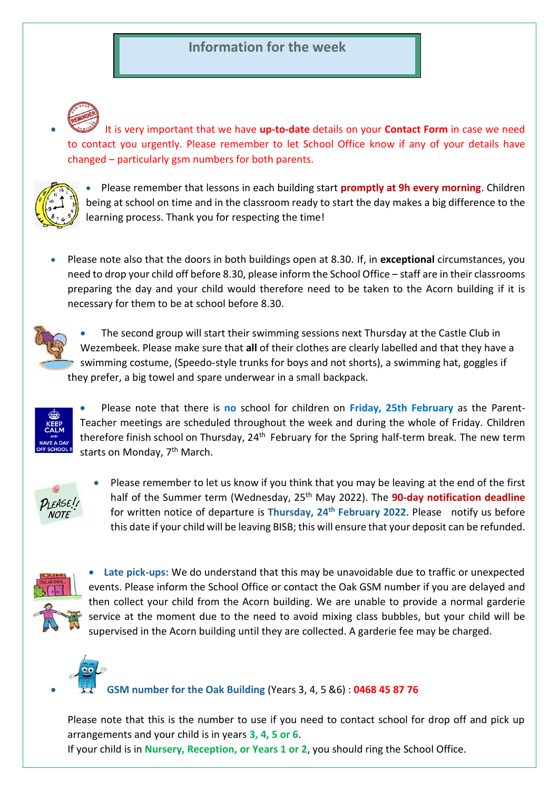# **Information for the week**

• It is very important that we have **up-to-date** details on your **Contact Form** in case we need to contact you urgently. Please remember to let School Office know if any of your details have changed – particularly gsm numbers for both parents.



• Please remember that lessons in each building start **promptly at 9h every morning**. Children being at school on time and in the classroom ready to start the day makes a big difference to the learning process. Thank you for respecting the time!

• Please note also that the doors in both buildings open at 8.30. If, in **exceptional** circumstances, you need to drop your child off before 8.30, please inform the School Office – staff are in their classrooms preparing the day and your child would therefore need to be taken to the Acorn building if it is necessary for them to be at school before 8.30.



• The second group will start their swimming sessions next Thursday at the Castle Club in Wezembeek. Please make sure that **all** of their clothes are clearly labelled and that they have a swimming costume, (Speedo-style trunks for boys and not shorts), a swimming hat, goggles if they prefer, a big towel and spare underwear in a small backpack.



• Please note that there is **no** school for children on **Friday, 25th February** as the Parent-Teacher meetings are scheduled throughout the week and during the whole of Friday. Children therefore finish school on Thursday, 24<sup>th</sup> February for the Spring half-term break. The new term starts on Monday, 7<sup>th</sup> March.



• Please remember to let us know if you think that you may be leaving at the end of the first half of the Summer term (Wednesday, 25<sup>th</sup> May 2022). The **90-day notification deadline** for written notice of departure is **Thursday, 24th February 2022**. Please notify us before this date if your child will be leaving BISB; this will ensure that your deposit can be refunded.



• **Late pick-ups:** We do understand that this may be unavoidable due to traffic or unexpected events. Please inform the School Office or contact the Oak GSM number if you are delayed and then collect your child from the Acorn building. We are unable to provide a normal garderie service at the moment due to the need to avoid mixing class bubbles, but your child will be supervised in the Acorn building until they are collected. A garderie fee may be charged.



• **GSM number for the Oak Building** (Years 3, 4, 5 &6) : **0468 45 87 76**

Please note that this is the number to use if you need to contact school for drop off and pick up arrangements and your child is in years **3, 4, 5 or 6**.

If your child is in **Nursery, Reception, or Years 1 or 2**, you should ring the School Office.